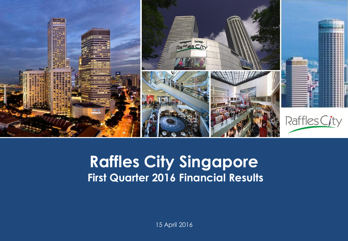

#### **Capital Raffles City Singapore Presentation Presents First Quarter 2016 Financial Results**

15 April 2016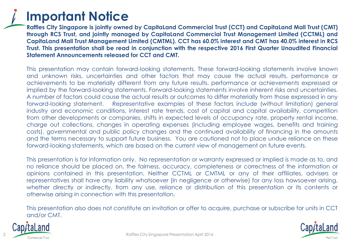

**Raffles City Singapore is jointly owned by CapitaLand Commercial Trust (CCT) and CapitaLand Mall Trust (CMT) through RCS Trust, and jointly managed by CapitaLand Commercial Trust Management Limited (CCTML) and** Capitaland Mall Trust Management Limited (CMTML). CCT has 60.0% interest and CMT has 40.0% interest in RCS **Trust. This presentation shall be read in conjunction with the respective 2016 First Quarter Unaudited Financial Statement Announcements released for CCT and CMT.**

This presentation may contain forward-looking statements. These forward-looking statements involve known and unknown risks, uncertainties and other factors that may cause the actual results, performance or achievements to be materially different from any future results, performance or achievements expressed or implied by the forward-looking statements. Forward-looking statements involve inherent risks and uncertainties. A number of factors could cause the actual results or outcomes to differ materially from those expressed in any forward-looking statement. Representative examples of these factors include (without limitation) general industry and economic conditions, interest rate trends, cost of capital and capital availability, competition from other developments or companies, shifts in expected levels of occupancy rate, property rental income, charge out collections, changes in operating expenses (including employee wages, benefits and training costs), governmental and public policy changes and the continued availability of financing in the amounts and the terms necessary to support future business. You are cautioned not to place undue reliance on these forward-looking statements, which are based on the current view of management on future events.

This presentation is for information only. No representation or warranty expressed or implied is made as to, and no reliance should be placed on, the fairness, accuracy, completeness or correctness of the information or opinions contained in this presentation. Neither CCTML or CMTML or any of their affiliates, advisers or representatives shall have any liability whatsoever (in negligence or otherwise) for any loss howsoever arising, whether directly or indirectly, from any use, reliance or distribution of this presentation or its contents or otherwise arising in connection with this presentation.

This presentation also does not constitute an invitation or offer to acquire, purchase or subscribe for units in CCT and/or CMT.



2

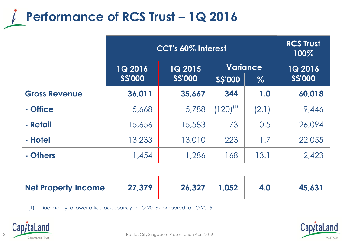

|                      | CCT's 60% Interest |                |                 |       | <b>RCS Trust</b><br>100% |
|----------------------|--------------------|----------------|-----------------|-------|--------------------------|
|                      | <b>1Q 2016</b>     | <b>1Q 2015</b> | <b>Variance</b> |       | $1Q$ 2016                |
|                      | <b>SS'000</b>      | <b>SS'000</b>  | <b>SS'000</b>   | $\%$  | <b>SS'000</b>            |
| <b>Gross Revenue</b> | 36,011             | 35,667         | 344             | 1.0   | 60,018                   |
| - Office             | 5,668              | 5,788          | $(120)^{11}$    | (2.1) | 9,446                    |
| - Retail             | 15,656             | 15,583         | 73              | 0.5   | 26,094                   |
| - Hotel              | 13,233             | 13,010         | 223             | 1.7   | 22,055                   |
| - Others             | 1,454              | 1,286          | 168             | 13.1  | 2,423                    |

| Net Property Income | 27,379 | 26,327 | 1.052 | 4.0 | 45,631 |
|---------------------|--------|--------|-------|-----|--------|
|                     |        |        |       |     |        |

(1) Due mainly to lower office occupancy in 1Q 2016 compared to 1Q 2015.



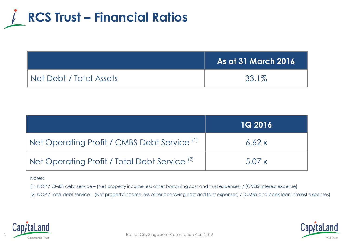

|                         | <b>As at 31 March 2016</b> |
|-------------------------|----------------------------|
| Net Debt / Total Assets | 33.1%                      |

|                                                          | <b>1Q 2016</b> |
|----------------------------------------------------------|----------------|
| Net Operating Profit / CMBS Debt Service <sup>(1)</sup>  | 6.62x          |
| Net Operating Profit / Total Debt Service <sup>(2)</sup> | 5.07x          |

#### Notes:

(1) NOP / CMBS debt service – (Net property income less other borrowing cost and trust expenses) / (CMBS interest expense)

(2) NOP / Total debt service – (Net property income less other borrowing cost and trust expenses) / (CMBS and bank loan interest expenses)



4

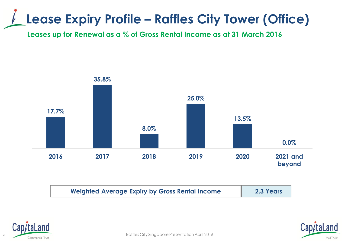## **Lease Expiry Profile – Raffles City Tower (Office)**

**Leases up for Renewal as a % of Gross Rental Income as at 31 March 2016**



| <b>Weighted Average Expiry by Gross Rental Income</b> | 2.3 Years |
|-------------------------------------------------------|-----------|
|                                                       |           |



Mall Trust

5 Commercial Trust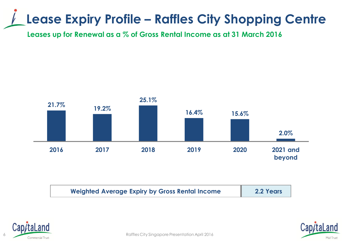## **Lease Expiry Profile – Raffles City Shopping Centre**

**Leases up for Renewal as a % of Gross Rental Income as at 31 March 2016**



| <b>Weighted Average Expiry by Gross Rental Income</b> | 2.2 Years |
|-------------------------------------------------------|-----------|
|-------------------------------------------------------|-----------|





Raffles City Singapore Presentation April 2016